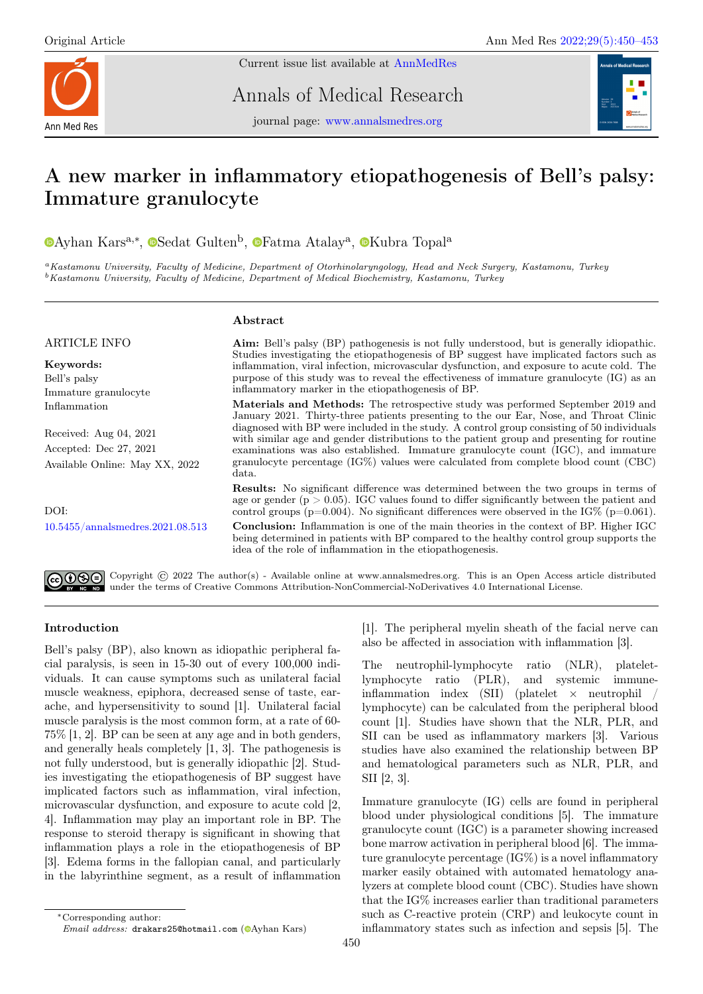ARTICLE INFO

Immature granulocyte

Keywords: Bell's palsy

Inflammation



Current issue list available at [AnnMedRes](https://annalsmedres.org/index.php/aomr/issue/view/163)

Annals of Medical Research



journal page: [www.annalsmedres.org](https://www.annalsmedres.org)

# A new marker in inflammatory etiopathogenesis of Bell's palsy: Immature granulocyte

[A](https://orcid.org/0000-0003-4580-315X)yhan Kars<sup>a,∗</sup>, <sup>®</sup>[S](https://orcid.org/0000-0001-5134-1620)edat Gulten<sup>b</sup>, <sup>®</sup>[F](https://orcid.org/0000-0002-0344-1982)atma Atalay<sup>a</sup>, ®[K](https://orcid.org/0000-0003-2179-4180)ubra Topal<sup>a</sup>

<sup>a</sup>Kastamonu University, Faculty of Medicine, Department of Otorhinolaryngology, Head and Neck Surgery, Kastamonu, Turkey <sup>b</sup>Kastamonu University, Faculty of Medicine, Department of Medical Biochemistry, Kastamonu, Turkey

# Abstract

Aim: Bell's palsy (BP) pathogenesis is not fully understood, but is generally idiopathic. Studies investigating the etiopathogenesis of BP suggest have implicated factors such as inflammation, viral infection, microvascular dysfunction, and exposure to acute cold. The purpose of this study was to reveal the effectiveness of immature granulocyte (IG) as an inflammatory marker in the etiopathogenesis of BP. Materials and Methods: The retrospective study was performed September 2019 and

Received: Aug 04, 2021 Accepted: Dec 27, 2021 Available Online: May XX, 2022

DOI: [10.5455/annalsmedres.2021.08.513](https://doi.org/10.5455/annalsmedres.2021.08.513) January 2021. Thirty-three patients presenting to the our Ear, Nose, and Throat Clinic diagnosed with BP were included in the study. A control group consisting of 50 individuals with similar age and gender distributions to the patient group and presenting for routine examinations was also established. Immature granulocyte count (IGC), and immature granulocyte percentage (IG%) values were calculated from complete blood count (CBC) data. Results: No significant difference was determined between the two groups in terms of

age or gender ( $p > 0.05$ ). IGC values found to differ significantly between the patient and control groups ( $p=0.004$ ). No significant differences were observed in the IG% ( $p=0.061$ ).

Conclusion: Inflammation is one of the main theories in the context of BP. Higher IGC being determined in patients with BP compared to the healthy control group supports the idea of the role of inflammation in the etiopathogenesis.

Copyright © 2022 The author(s) - Available online at www.annalsmedres.org. This is an Open Access article distributed under the terms of Creative Commons Attribution-NonCommercial-NoDerivatives 4.0 International License.

# Introduction

Bell's palsy (BP), also known as idiopathic peripheral facial paralysis, is seen in 15-30 out of every 100,000 individuals. It can cause symptoms such as unilateral facial muscle weakness, epiphora, decreased sense of taste, earache, and hypersensitivity to sound [1]. Unilateral facial muscle paralysis is the most common form, at a rate of 60- 75% [1, 2]. BP can be seen at any age and in both genders, and generally heals completely [1, 3]. The pathogenesis is not fully understood, but is generally idiopathic [2]. Studies investigating the etiopathogenesis of BP suggest have implicated factors such as inflammation, viral infection, microvascular dysfunction, and exposure to acute cold [2, 4]. Inflammation may play an important role in BP. The response to steroid therapy is significant in showing that inflammation plays a role in the etiopathogenesis of BP [3]. Edema forms in the fallopian canal, and particularly in the labyrinthine segment, as a result of inflammation

Email address: drakars25@hotmail.com ( $\bullet$ [A](https://orcid.org/0000-0003-4580-315X)yhan Kars)

[1]. The peripheral myelin sheath of the facial nerve can also be affected in association with inflammation [3].

The neutrophil-lymphocyte ratio (NLR), plateletlymphocyte ratio (PLR), and systemic immuneinflammation index  $(SII)$  (platelet  $\times$  neutrophil / lymphocyte) can be calculated from the peripheral blood count [1]. Studies have shown that the NLR, PLR, and SII can be used as inflammatory markers [3]. Various studies have also examined the relationship between BP and hematological parameters such as NLR, PLR, and SII [2, 3].

Immature granulocyte (IG) cells are found in peripheral blood under physiological conditions [5]. The immature granulocyte count (IGC) is a parameter showing increased bone marrow activation in peripheral blood [6]. The immature granulocyte percentage (IG%) is a novel inflammatory marker easily obtained with automated hematology analyzers at complete blood count (CBC). Studies have shown that the IG% increases earlier than traditional parameters such as C-reactive protein (CRP) and leukocyte count in inflammatory states such as infection and sepsis [5]. The

<sup>∗</sup>Corresponding author: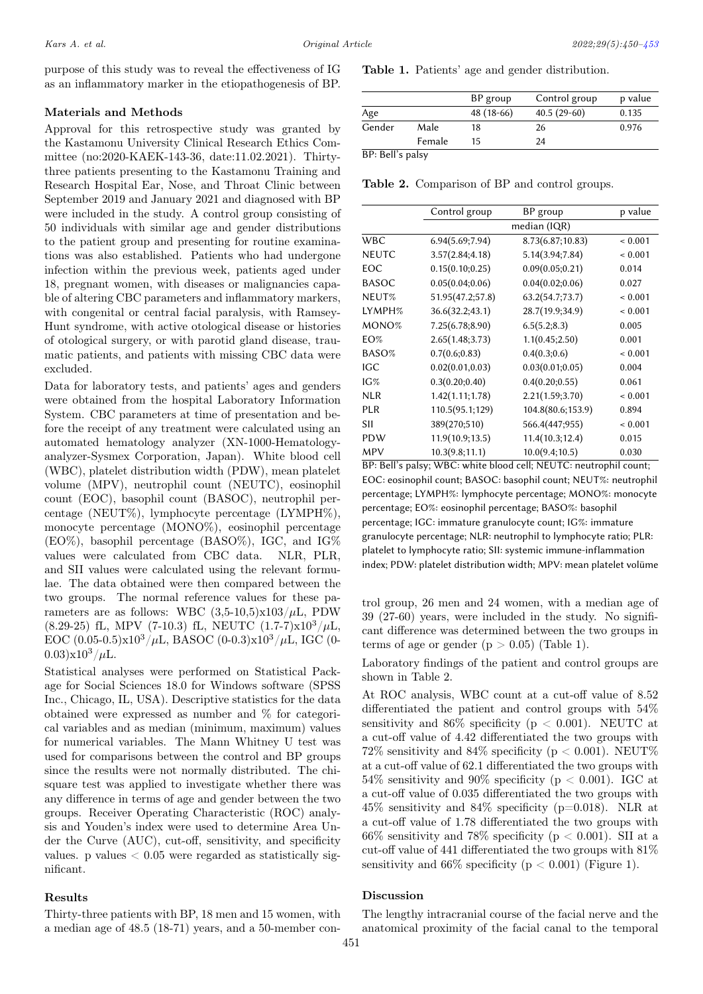purpose of this study was to reveal the effectiveness of IG as an inflammatory marker in the etiopathogenesis of BP.

### Materials and Methods

Approval for this retrospective study was granted by the Kastamonu University Clinical Research Ethics Committee (no:2020-KAEK-143-36, date:11.02.2021). Thirtythree patients presenting to the Kastamonu Training and Research Hospital Ear, Nose, and Throat Clinic between September 2019 and January 2021 and diagnosed with BP were included in the study. A control group consisting of 50 individuals with similar age and gender distributions to the patient group and presenting for routine examinations was also established. Patients who had undergone infection within the previous week, patients aged under 18, pregnant women, with diseases or malignancies capable of altering CBC parameters and inflammatory markers, with congenital or central facial paralysis, with Ramsey-Hunt syndrome, with active otological disease or histories of otological surgery, or with parotid gland disease, traumatic patients, and patients with missing CBC data were excluded.

Data for laboratory tests, and patients' ages and genders were obtained from the hospital Laboratory Information System. CBC parameters at time of presentation and before the receipt of any treatment were calculated using an automated hematology analyzer (XN-1000-Hematologyanalyzer-Sysmex Corporation, Japan). White blood cell (WBC), platelet distribution width (PDW), mean platelet volume (MPV), neutrophil count (NEUTC), eosinophil count (EOC), basophil count (BASOC), neutrophil percentage (NEUT%), lymphocyte percentage (LYMPH%), monocyte percentage (MONO%), eosinophil percentage (EO%), basophil percentage (BASO%), IGC, and IG% values were calculated from CBC data. NLR, PLR, and SII values were calculated using the relevant formulae. The data obtained were then compared between the two groups. The normal reference values for these parameters are as follows: WBC  $(3,5\textrm{-}10,5)\times103/\mu\text{L}$ , PDW (8.29-25) fL, MPV (7-10.3) fL, NEUTC  $(1.7-7)x10^3/\mu L$ , EOC  $(0.05-0.5)x10^3/\mu L$ , BASOC  $(0-0.3)x10^3/\mu L$ , IGC  $(0 (0.03)x10^3/\mu L$ .

Statistical analyses were performed on Statistical Package for Social Sciences 18.0 for Windows software (SPSS Inc., Chicago, IL, USA). Descriptive statistics for the data obtained were expressed as number and % for categorical variables and as median (minimum, maximum) values for numerical variables. The Mann Whitney U test was used for comparisons between the control and BP groups since the results were not normally distributed. The chisquare test was applied to investigate whether there was any difference in terms of age and gender between the two groups. Receiver Operating Characteristic (ROC) analysis and Youden's index were used to determine Area Under the Curve (AUC), cut-off, sensitivity, and specificity values. p values  $< 0.05$  were regarded as statistically significant.

#### Results

Thirty-three patients with BP, 18 men and 15 women, with a median age of 48.5 (18-71) years, and a 50-member conTable 1. Patients' age and gender distribution.

|        |        | BP group   | Control group | p value |
|--------|--------|------------|---------------|---------|
| Age    |        | 48 (18-66) | $40.5(29-60)$ | 0.135   |
| Gender | Male   | 18         | 26            | 0.976   |
|        | Female | 15         | 24            |         |

BP: Bell's palsy

Table 2. Comparison of BP and control groups.

|              | Control group    | BP group          | p value     |  |  |
|--------------|------------------|-------------------|-------------|--|--|
|              | median (IQR)     |                   |             |  |  |
| <b>WBC</b>   | 6.94(5.69;7.94)  | 8.73(6.87;10.83)  | ${}< 0.001$ |  |  |
| <b>NEUTC</b> | 3.57(2.84; 4.18) | 5.14(3.94;7.84)   | ${}< 0.001$ |  |  |
| EOC          | 0.15(0.10;0.25)  | 0.09(0.05;0.21)   | 0.014       |  |  |
| <b>BASOC</b> | 0.05(0.04;0.06)  | 0.04(0.02;0.06)   | 0.027       |  |  |
| NEUT%        | 51.95(47.2;57.8) | 63.2(54.7;73.7)   | ${}< 0.001$ |  |  |
| LYMPH%       | 36.6(32.2;43.1)  | 28.7(19.9;34.9)   | ${}< 0.001$ |  |  |
| MONO%        | 7.25(6.78; 8.90) | 6.5(5.2; 8.3)     | 0.005       |  |  |
| $EO\%$       | 2.65(1.48; 3.73) | 1.1(0.45;2.50)    | 0.001       |  |  |
| BASO%        | 0.7(0.6;0.83)    | 0.4(0.3;0.6)      | ${}< 0.001$ |  |  |
| IGC          | 0.02(0.01, 0.03) | 0.03(0.01;0.05)   | 0.004       |  |  |
| IG%          | 0.3(0.20; 0.40)  | 0.4(0.20;0.55)    | 0.061       |  |  |
| <b>NLR</b>   | 1.42(1.11;1.78)  | 2.21(1.59; 3.70)  | ${}< 0.001$ |  |  |
| <b>PLR</b>   | 110.5(95.1;129)  | 104.8(80.6;153.9) | 0.894       |  |  |
| SII          | 389(270;510)     | 566.4(447;955)    | ${}< 0.001$ |  |  |
| PDW          | 11.9(10.9;13.5)  | 11.4(10.3;12.4)   | 0.015       |  |  |
| <b>MPV</b>   | 10.3(9.8;11.1)   | 10.0(9.4;10.5)    | 0.030       |  |  |

BP: Bell's palsy; WBC: white blood cell; NEUTC: neutrophil count; EOC: eosinophil count; BASOC: basophil count; NEUT%: neutrophil percentage; LYMPH%: lymphocyte percentage; MONO%: monocyte percentage; EO%: eosinophil percentage; BASO%: basophil percentage; IGC: immature granulocyte count; IG%: immature granulocyte percentage; NLR: neutrophil to lymphocyte ratio; PLR: platelet to lymphocyte ratio; SII: systemic immune-inflammation index; PDW: platelet distribution width; MPV: mean platelet volüme

trol group, 26 men and 24 women, with a median age of 39 (27-60) years, were included in the study. No significant difference was determined between the two groups in terms of age or gender  $(p > 0.05)$  (Table 1).

Laboratory findings of the patient and control groups are shown in Table 2.

At ROC analysis, WBC count at a cut-off value of 8.52 differentiated the patient and control groups with 54% sensitivity and  $86\%$  specificity ( $p < 0.001$ ). NEUTC at a cut-off value of 4.42 differentiated the two groups with 72% sensitivity and 84% specificity ( $p < 0.001$ ). NEUT% at a cut-off value of 62.1 differentiated the two groups with 54% sensitivity and 90% specificity (p < 0.001). IGC at a cut-off value of 0.035 differentiated the two groups with  $45\%$  sensitivity and  $84\%$  specificity (p=0.018). NLR at a cut-off value of 1.78 differentiated the two groups with 66% sensitivity and 78% specificity ( $p < 0.001$ ). SII at a cut-off value of 441 differentiated the two groups with 81% sensitivity and  $66\%$  specificity ( $p < 0.001$ ) (Figure 1).

#### Discussion

The lengthy intracranial course of the facial nerve and the anatomical proximity of the facial canal to the temporal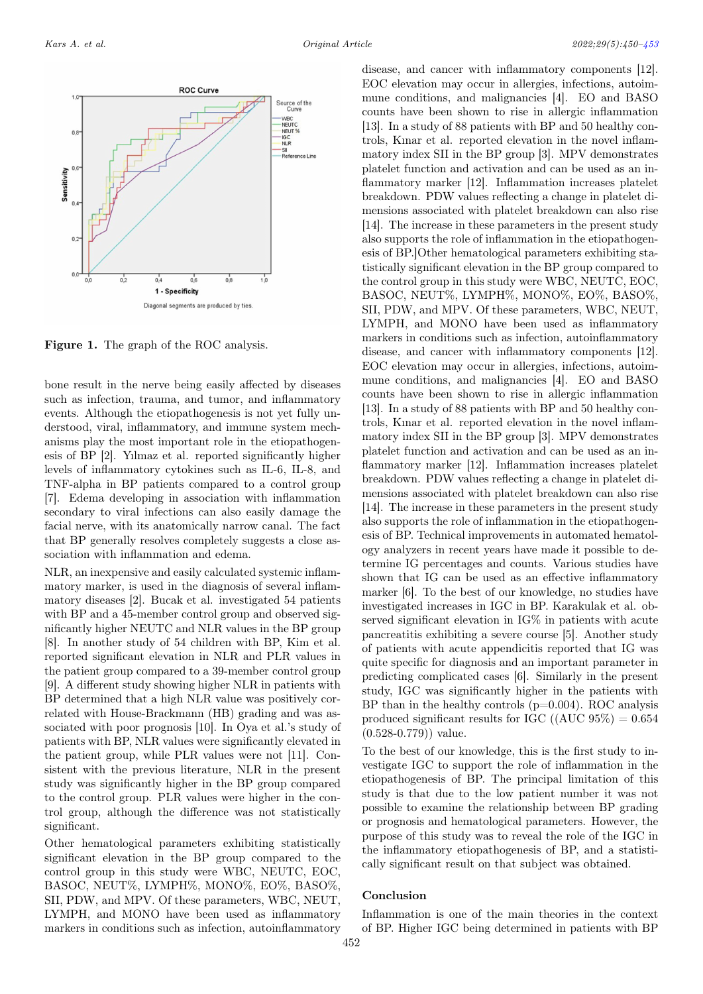<span id="page-2-0"></span>

Figure 1. The graph of the ROC analysis.

bone result in the nerve being easily affected by diseases such as infection, trauma, and tumor, and inflammatory events. Although the etiopathogenesis is not yet fully understood, viral, inflammatory, and immune system mechanisms play the most important role in the etiopathogenesis of BP [2]. Yılmaz et al. reported significantly higher levels of inflammatory cytokines such as IL-6, IL-8, and TNF-alpha in BP patients compared to a control group [7]. Edema developing in association with inflammation secondary to viral infections can also easily damage the facial nerve, with its anatomically narrow canal. The fact that BP generally resolves completely suggests a close association with inflammation and edema.

NLR, an inexpensive and easily calculated systemic inflammatory marker, is used in the diagnosis of several inflammatory diseases [2]. Bucak et al. investigated 54 patients with BP and a 45-member control group and observed significantly higher NEUTC and NLR values in the BP group [8]. In another study of 54 children with BP, Kim et al. reported significant elevation in NLR and PLR values in the patient group compared to a 39-member control group [9]. A different study showing higher NLR in patients with BP determined that a high NLR value was positively correlated with House-Brackmann (HB) grading and was associated with poor prognosis [10]. In Oya et al.'s study of patients with BP, NLR values were significantly elevated in the patient group, while PLR values were not [11]. Consistent with the previous literature, NLR in the present study was significantly higher in the BP group compared to the control group. PLR values were higher in the control group, although the difference was not statistically significant.

Other hematological parameters exhibiting statistically significant elevation in the BP group compared to the control group in this study were WBC, NEUTC, EOC, BASOC, NEUT%, LYMPH%, MONO%, EO%, BASO%, SII, PDW, and MPV. Of these parameters, WBC, NEUT, LYMPH, and MONO have been used as inflammatory markers in conditions such as infection, autoinflammatory

disease, and cancer with inflammatory components [12]. EOC elevation may occur in allergies, infections, autoimmune conditions, and malignancies [4]. EO and BASO counts have been shown to rise in allergic inflammation [13]. In a study of 88 patients with BP and 50 healthy controls, Kınar et al. reported elevation in the novel inflammatory index SII in the BP group [3]. MPV demonstrates platelet function and activation and can be used as an inflammatory marker [12]. Inflammation increases platelet breakdown. PDW values reflecting a change in platelet dimensions associated with platelet breakdown can also rise [14]. The increase in these parameters in the present study also supports the role of inflammation in the etiopathogenesis of BP.]Other hematological parameters exhibiting statistically significant elevation in the BP group compared to the control group in this study were WBC, NEUTC, EOC, BASOC, NEUT%, LYMPH%, MONO%, EO%, BASO%, SII, PDW, and MPV. Of these parameters, WBC, NEUT, LYMPH, and MONO have been used as inflammatory markers in conditions such as infection, autoinflammatory disease, and cancer with inflammatory components [12]. EOC elevation may occur in allergies, infections, autoimmune conditions, and malignancies [4]. EO and BASO counts have been shown to rise in allergic inflammation [13]. In a study of 88 patients with BP and 50 healthy controls, Kınar et al. reported elevation in the novel inflammatory index SII in the BP group [3]. MPV demonstrates platelet function and activation and can be used as an inflammatory marker [12]. Inflammation increases platelet breakdown. PDW values reflecting a change in platelet dimensions associated with platelet breakdown can also rise [14]. The increase in these parameters in the present study also supports the role of inflammation in the etiopathogenesis of BP. Technical improvements in automated hematology analyzers in recent years have made it possible to determine IG percentages and counts. Various studies have shown that IG can be used as an effective inflammatory marker [6]. To the best of our knowledge, no studies have investigated increases in IGC in BP. Karakulak et al. observed significant elevation in IG% in patients with acute pancreatitis exhibiting a severe course [5]. Another study of patients with acute appendicitis reported that IG was quite specific for diagnosis and an important parameter in predicting complicated cases [6]. Similarly in the present study, IGC was significantly higher in the patients with BP than in the healthy controls  $(p=0.004)$ . ROC analysis produced significant results for IGC  $((AUC 95%) = 0.654)$  $(0.528 - 0.779)$  value.

To the best of our knowledge, this is the first study to investigate IGC to support the role of inflammation in the etiopathogenesis of BP. The principal limitation of this study is that due to the low patient number it was not possible to examine the relationship between BP grading or prognosis and hematological parameters. However, the purpose of this study was to reveal the role of the IGC in the inflammatory etiopathogenesis of BP, and a statistically significant result on that subject was obtained.

## Conclusion

Inflammation is one of the main theories in the context of BP. Higher IGC being determined in patients with BP